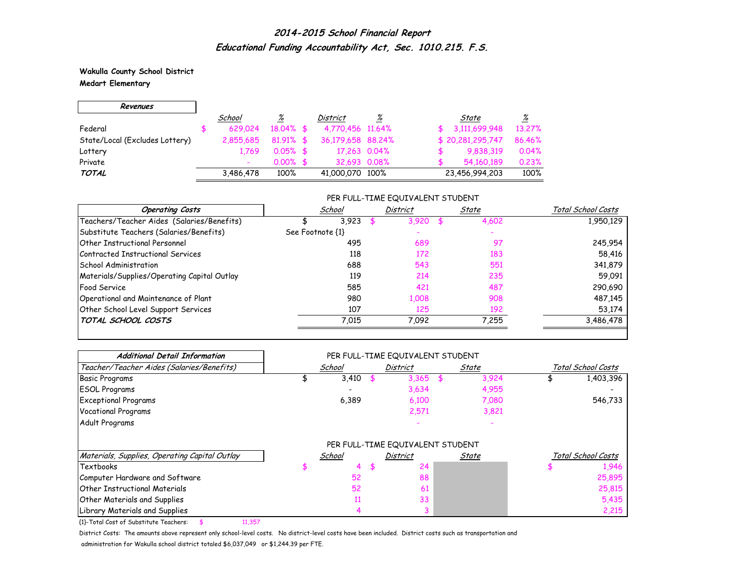**Wakulla County School District Medart Elementary**

 $\Gamma$ 

 $\overline{\phantom{0}}$ 

| Revenues                       |           |              |                   |   |                  |          |
|--------------------------------|-----------|--------------|-------------------|---|------------------|----------|
|                                | School    | <u>%</u>     | District          | % | State            | <u>%</u> |
| Federal                        | 629.024   | $18.04\%$ \$ | 4,770,456 11,64%  |   | 3,111,699,948    | 13.27%   |
| State/Local (Excludes Lottery) | 2,855,685 | $81.91\%$ \$ | 36,179,658 88,24% |   | \$20,281,295,747 | 86.46%   |
| Lottery                        | 1.769     | $0.05\%$ \$  | 17,263 0.04%      |   | 9,838,319        | 0.04%    |
| Private                        |           | $0.00\%$ \$  | 32.693 0.08%      |   | 54,160,189       | 0.23%    |
| <b>TOTAL</b>                   | 3,486,478 | 100%         | 41,000,070 100%   |   | 23,456,994,203   | 100%     |

### PER FULL-TIME EQUIVALENT STUDENT

| <b>Operating Costs</b>                      | School           | <b>District</b> | State | Total School Costs |
|---------------------------------------------|------------------|-----------------|-------|--------------------|
| Teachers/Teacher Aides (Salaries/Benefits)  | 3,923            | 3,920           | 4,602 | 1,950,129          |
| Substitute Teachers (Salaries/Benefits)     | See Footnote {1} |                 |       |                    |
| Other Instructional Personnel               | 495              | 689             | 97    | 245,954            |
| Contracted Instructional Services           | 118              | 172             | 183   | 58,416             |
| School Administration                       | 688              | 543             | 551   | 341,879            |
| Materials/Supplies/Operating Capital Outlay | 119              | 214             | 235   | 59,091             |
| <b>Food Service</b>                         | 585              | 421             | 487   | 290,690            |
| Operational and Maintenance of Plant        | 980              | 1,008           | 908   | 487,145            |
| Other School Level Support Services         | 107              | 125             | 192   | 53,174             |
| TOTAL SCHOOL COSTS                          | 7,015            | 7,092           | 7,255 | 3,486,478          |

| <b>Additional Detail Information</b>          |        |    | PER FULL-TIME EQUIVALENT STUDENT |              |                    |
|-----------------------------------------------|--------|----|----------------------------------|--------------|--------------------|
| Teacher/Teacher Aides (Salaries/Benefits)     | School |    | District                         | <u>State</u> | Total School Costs |
| <b>Basic Programs</b>                         | 3,410  |    | 3,365                            | 3,924        | 1,403,396          |
| <b>ESOL Programs</b>                          |        |    | 3,634                            | 4,955        |                    |
| <b>Exceptional Programs</b>                   | 6,389  |    | 6,100                            | 7,080        | 546,733            |
| <b>Vocational Programs</b>                    |        |    | 2,571                            | 3,821        |                    |
| Adult Programs                                |        |    |                                  |              |                    |
|                                               |        |    | PER FULL-TIME EQUIVALENT STUDENT |              |                    |
| Materials, Supplies, Operating Capital Outlay | School |    | District                         | State        | Total School Costs |
| Textbooks                                     |        | 56 | 24                               |              | .946               |
| Computer Hardware and Software                | 52     |    | 88                               |              | 25,895             |
| <b>Other Instructional Materials</b>          | 52     |    | 61                               |              | 25,815             |
| <b>Other Materials and Supplies</b>           |        |    | 33                               |              | 5,435              |
| Library Materials and Supplies                |        |    |                                  |              | 2,215              |

{1}-Total Cost of Substitute Teachers: \$ 11,357

District Costs: The amounts above represent only school-level costs. No district-level costs have been included. District costs such as transportation and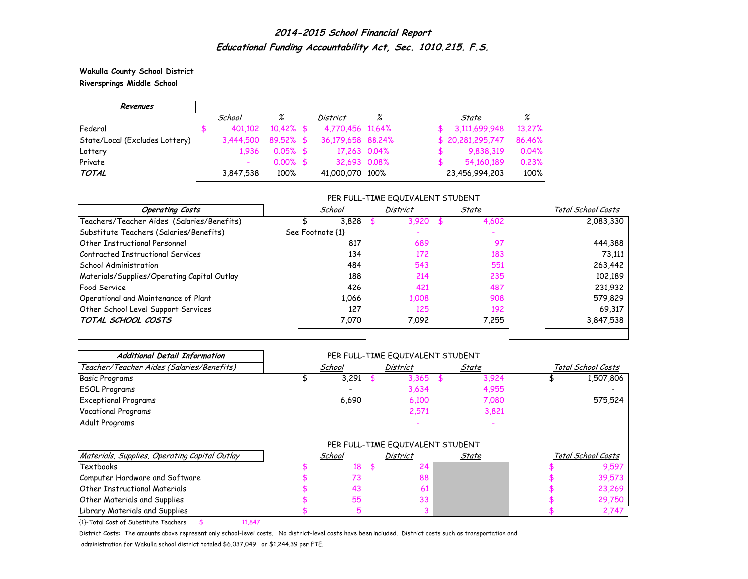**Wakulla County School District Riversprings Middle School**

 $\Gamma$ 

 $\overline{\phantom{0}}$ 

| Revenues                       |           |              |                   |   |                   |          |
|--------------------------------|-----------|--------------|-------------------|---|-------------------|----------|
|                                | School    | <u>%</u>     | District          | ℅ | State             | <u>%</u> |
| Federal                        | 401.102   | $10.42\%$ \$ | 4,770,456 11,64%  |   | 3,111,699,948     | 13.27%   |
| State/Local (Excludes Lottery) | 3.444.500 | $89.52\%$ \$ | 36,179,658 88,24% |   | \$ 20,281,295,747 | 86.46%   |
| Lottery                        | 1.936     | $0.05\%$ \$  | 17,263 0.04%      |   | 9,838,319         | 0.04%    |
| Private                        |           | $0.00\%$ \$  | 32.693 0.08%      |   | 54,160,189        | 0.23%    |
| <b>TOTAL</b>                   | 3,847,538 | 100%         | 41,000,070 100%   |   | 23,456,994,203    | 100%     |

### PER FULL-TIME EQUIVALENT STUDENT

| <b>Operating Costs</b>                      | School           | <b>District</b> | State | Total School Costs |
|---------------------------------------------|------------------|-----------------|-------|--------------------|
| Teachers/Teacher Aides (Salaries/Benefits)  | 3,828            | 3,920           | 4,602 | 2,083,330          |
| Substitute Teachers (Salaries/Benefits)     | See Footnote {1} |                 |       |                    |
| <b>Other Instructional Personnel</b>        | 817              | 689             | -97   | 444,388            |
| Contracted Instructional Services           | 134              | 172             | 183   | 73.111             |
| School Administration                       | 484              | 543             | 551   | 263,442            |
| Materials/Supplies/Operating Capital Outlay | 188              | 214             | 235   | 102,189            |
| <b>Food Service</b>                         | 426              | 421             | 487   | 231,932            |
| Operational and Maintenance of Plant        | 1,066            | 1,008           | 908   | 579,829            |
| Other School Level Support Services         | 127              | 125             | 192   | 69,317             |
| TOTAL SCHOOL COSTS                          | 7.070            | 7.092           | 7.255 | 3,847,538          |

| <b>Additional Detail Information</b>          |        | PER FULL-TIME EQUIVALENT STUDENT |       |                    |
|-----------------------------------------------|--------|----------------------------------|-------|--------------------|
| Teacher/Teacher Aides (Salaries/Benefits)     | School | <b>District</b>                  | State | Total School Costs |
| <b>Basic Programs</b>                         | 3,291  | 3,365                            | 3,924 | 1,507,806          |
| <b>ESOL Programs</b>                          |        | 3,634                            | 4,955 |                    |
| <b>Exceptional Programs</b>                   | 6,690  | 6,100                            | 7,080 | 575,524            |
| <b>Vocational Programs</b>                    |        | 2,571                            | 3,821 |                    |
| Adult Programs                                |        |                                  |       |                    |
|                                               |        | PER FULL-TIME EQUIVALENT STUDENT |       |                    |
| Materials, Supplies, Operating Capital Outlay | School | <b>District</b>                  | State | Total School Costs |
| Textbooks                                     | 18     | 24                               |       | 9,597              |
| Computer Hardware and Software                | 73     | 88                               |       | 39,573             |
| <b>Other Instructional Materials</b>          | 43     | 61                               |       | 23,269             |
| Other Materials and Supplies                  | 55     | 33                               |       | 29,750             |
| Library Materials and Supplies                |        |                                  |       | 2,747              |

{1}-Total Cost of Substitute Teachers: \$ 11,847

District Costs: The amounts above represent only school-level costs. No district-level costs have been included. District costs such as transportation and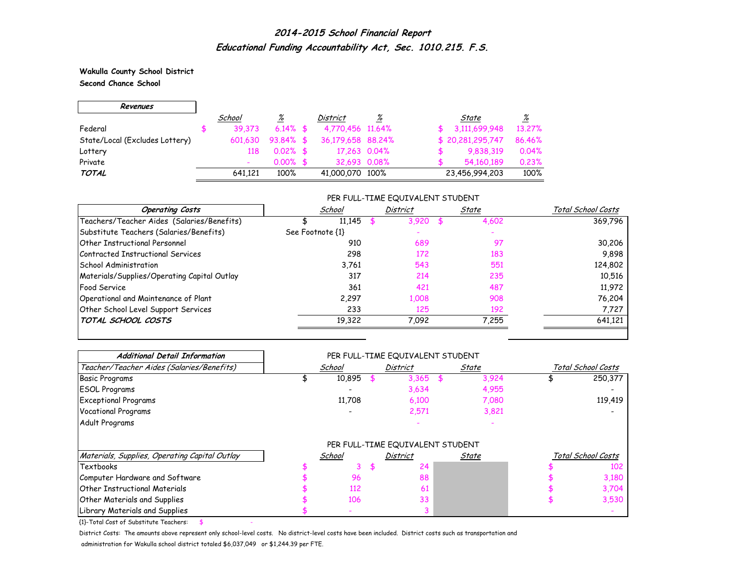**Wakulla County School District Second Chance School**

г

| Revenues                       |         |              |                   |              |                  |          |
|--------------------------------|---------|--------------|-------------------|--------------|------------------|----------|
|                                | School  | <u>%</u>     | <b>District</b>   | %            | State            | <u>%</u> |
| Federal                        | 39.373  | $6.14\%$ \$  | 4,770,456 11,64%  |              | 3,111,699,948    | 13.27%   |
| State/Local (Excludes Lottery) | 601.630 | $93.84\%$ \$ | 36,179,658 88,24% |              | \$20,281,295,747 | 86.46%   |
| Lottery                        | 118     | $0.02\%$ \$  |                   | 17,263 0.04% | 9,838,319        | 0.04%    |
| Private                        |         | $0.00\%$ \$  | 32.693 0.08%      |              | 54,160,189       | 0.23%    |
| <b>TOTAL</b>                   | 641.121 | 100%         | 41,000,070 100%   |              | 23,456,994,203   | 100%     |

### PER FULL-TIME EQUIVALENT STUDENT

| <b>Operating Costs</b>                      | School           | <b>District</b> | State | Total School Costs |
|---------------------------------------------|------------------|-----------------|-------|--------------------|
| Teachers/Teacher Aides (Salaries/Benefits)  | 11,145           | 3,920           | 4,602 | 369,796            |
| Substitute Teachers (Salaries/Benefits)     | See Footnote {1} |                 |       |                    |
| Other Instructional Personnel               | 910              | 689             | -97   | 30,206             |
| Contracted Instructional Services           | 298              | 172             | 183   | 9,898              |
| School Administration                       | 3,761            | 543             | 551   | 124,802            |
| Materials/Supplies/Operating Capital Outlay | 317              | 214             | 235   | 10,516             |
| <b>Food Service</b>                         | 361              | 421             | 487   | 11,972             |
| Operational and Maintenance of Plant        | 2,297            | 1,008           | 908   | 76,204             |
| Other School Level Support Services         | 233              | 125             | 192   | 7,727              |
| TOTAL SCHOOL COSTS                          | 19,322           | 7,092           | 7,255 | 641,121            |

| <b>Additional Detail Information</b>          |        | PER FULL-TIME EQUIVALENT STUDENT |              |                    |
|-----------------------------------------------|--------|----------------------------------|--------------|--------------------|
| Teacher/Teacher Aides (Salaries/Benefits)     | School | <b>District</b>                  | <u>State</u> | Total School Costs |
| <b>Basic Programs</b>                         | 10,895 | 3,365                            | 3,924        | 250,377            |
| <b>ESOL Programs</b>                          |        | 3,634                            | 4,955        |                    |
| <b>Exceptional Programs</b>                   | 11,708 | 6,100                            | 7,080        | 119,419            |
| <b>Vocational Programs</b>                    |        | 2,571                            | 3,821        |                    |
| Adult Programs                                |        |                                  |              |                    |
|                                               |        | PER FULL-TIME EQUIVALENT STUDENT |              |                    |
| Materials, Supplies, Operating Capital Outlay | School | <b>District</b>                  | State        | Total School Costs |
| Textbooks                                     | 3      | 24                               |              | 102                |
| Computer Hardware and Software                | 96     | 88                               |              | 3,180              |
| <b>Other Instructional Materials</b>          | 112    | 61                               |              | 3,704              |
| <b>Other Materials and Supplies</b>           | 106    | 33                               |              | 3,530              |
| Library Materials and Supplies                |        |                                  |              |                    |

 ${1}$ -Total Cost of Substitute Teachers: \$

District Costs: The amounts above represent only school-level costs. No district-level costs have been included. District costs such as transportation and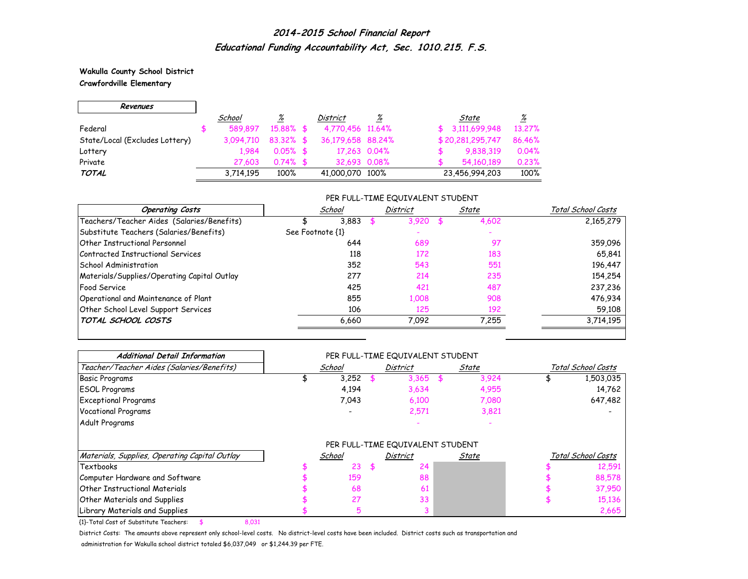**Wakulla County School District Crawfordville Elementary**

 $\Gamma$ 

 $\overline{\phantom{0}}$ 

| Revenues                       |           |              |                   |          |                            |
|--------------------------------|-----------|--------------|-------------------|----------|----------------------------|
|                                | School    | <u>%</u>     | District          | <u>%</u> | <u>%</u><br>State          |
| Federal                        | 589.897   | 15.88% \$    | 4,770,456 11,64%  |          | \$3,111,699,948<br>13.27%  |
| State/Local (Excludes Lottery) | 3.094.710 | $83.32\%$ \$ | 36,179,658 88,24% |          | \$20,281,295,747<br>86,46% |
| Lottery                        | 1.984     | $0.05\%$ \$  | 17,263 0.04%      |          | 0.04%<br>9,838,319         |
| Private                        | 27,603    | $0.74\%$ \$  | 32,693 0.08%      |          | 0.23%<br>54,160,189        |
| <b>TOTAL</b>                   | 3,714,195 | 100%         | 41,000,070 100%   |          | 100%<br>23,456,994,203     |

### PER FULL-TIME EQUIVALENT STUDENT

| <b>Operating Costs</b>                      | School           | District | State | Total School Costs |
|---------------------------------------------|------------------|----------|-------|--------------------|
| Teachers/Teacher Aides (Salaries/Benefits)  | 3.883            | 3.920    | 4,602 | 2,165,279          |
| Substitute Teachers (Salaries/Benefits)     | See Footnote {1} |          |       |                    |
| Other Instructional Personnel               | 644              | 689      | 97    | 359,096            |
| Contracted Instructional Services           | 118              | 172      | 183   | 65,841             |
| School Administration                       | 352              | 543      | 551   | 196,447            |
| Materials/Supplies/Operating Capital Outlay | 277              | 214      | 235   | 154,254            |
| <b>Food Service</b>                         | 425              | 421      | 487   | 237,236            |
| Operational and Maintenance of Plant        | 855              | 1.008    | 908   | 476,934            |
| Other School Level Support Services         | 106              | 125      | 192   | 59,108             |
| TOTAL SCHOOL COSTS                          | 6,660            | 7,092    | 7.255 | 3,714,195          |

| <b>Additional Detail Information</b>          |                          | PER FULL-TIME EQUIVALENT STUDENT |              |                    |
|-----------------------------------------------|--------------------------|----------------------------------|--------------|--------------------|
| Teacher/Teacher Aides (Salaries/Benefits)     | School                   | District                         | <u>State</u> | Total School Costs |
| <b>Basic Programs</b>                         | 3,252                    | 3,365                            | 3,924        | 1,503,035          |
| <b>ESOL Programs</b>                          | 4,194                    | 3,634                            | 4,955        | 14,762             |
| <b>Exceptional Programs</b>                   | 7,043                    | 6,100                            | 7,080        | 647,482            |
| <b>Vocational Programs</b>                    | $\overline{\phantom{0}}$ | 2,571                            | 3,821        |                    |
| Adult Programs                                |                          |                                  |              |                    |
|                                               |                          | PER FULL-TIME EQUIVALENT STUDENT |              |                    |
| Materials, Supplies, Operating Capital Outlay | School                   | District                         | State        | Total School Costs |
| Textbooks                                     | 23                       | 24                               |              | 12,591             |
| Computer Hardware and Software                | 159                      | 88                               |              | 88,578             |
| <b>Other Instructional Materials</b>          | 68                       | 61                               |              | 37,950             |
| <b>Other Materials and Supplies</b>           | 27                       | 33                               |              | 15,136             |
| Library Materials and Supplies                |                          |                                  |              | 2,665              |

{1}-Total Cost of Substitute Teachers: \$ 8,031

District Costs: The amounts above represent only school-level costs. No district-level costs have been included. District costs such as transportation and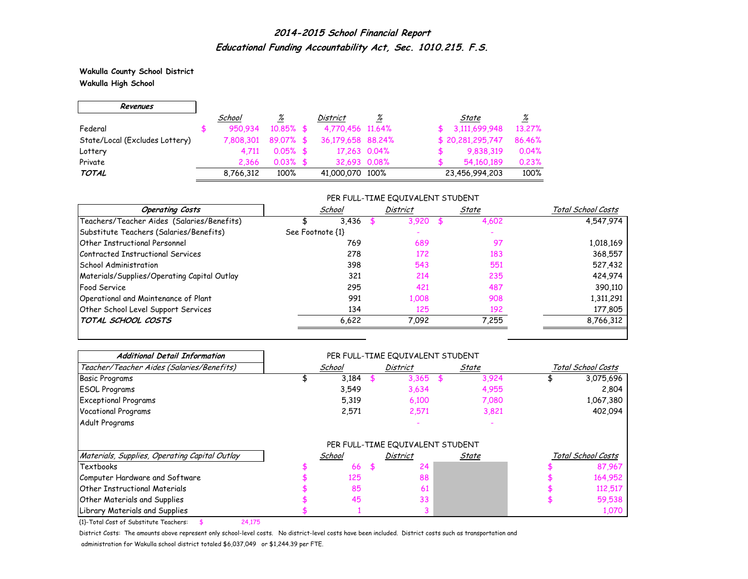**Wakulla County School District Wakulla High School**

 $\Gamma$ 

 $\overline{\phantom{0}}$ 

| Revenues                       |           |              |                   |          |                  |          |
|--------------------------------|-----------|--------------|-------------------|----------|------------------|----------|
|                                | School    | <u>%</u>     | District          | <u>%</u> | State            | <u>%</u> |
| Federal                        | 950.934   | $10.85\%$ \$ | 4,770,456 11,64%  |          | 3,111,699,948    | 13.27%   |
| State/Local (Excludes Lottery) | 7.808.301 | $89.07\%$ \$ | 36,179,658 88,24% |          | \$20,281,295,747 | 86.46%   |
| Lottery                        | 4.711     | $0.05\%$ \$  | 17,263 0.04%      |          | 9,838,319        | 0.04%    |
| Private                        | 2.366     | $0.03\%$ \$  | 32,693 0.08%      |          | 54,160,189       | 0.23%    |
| <b>TOTAL</b>                   | 8,766,312 | 100%         | 41,000,070 100%   |          | 23,456,994,203   | 100%     |

### PER FULL-TIME EQUIVALENT STUDENT

| <b>Operating Costs</b>                      | School           | <b>District</b> | State | Total School Costs |
|---------------------------------------------|------------------|-----------------|-------|--------------------|
| Teachers/Teacher Aides (Salaries/Benefits)  | 3,436            | 3,920           | 4,602 | 4,547,974          |
| Substitute Teachers (Salaries/Benefits)     | See Footnote {1} |                 |       |                    |
| Other Instructional Personnel               | 769              | 689             | 97    | 1,018,169          |
| Contracted Instructional Services           | 278              | 172             | 183   | 368,557            |
| School Administration                       | 398              | 543             | 551   | 527,432            |
| Materials/Supplies/Operating Capital Outlay | 321              | 214             | 235   | 424,974            |
| <b>Food Service</b>                         | 295              | 421             | 487   | 390,110            |
| Operational and Maintenance of Plant        | 991              | 1,008           | 908   | 1,311,291          |
| Other School Level Support Services         | 134              | 125             | 192   | 177,805            |
| TOTAL SCHOOL COSTS                          | 6,622            | 7,092           | 7.255 | 8,766,312          |

| <b>Additional Detail Information</b>          |        |          | PER FULL-TIME EQUIVALENT STUDENT |                    |
|-----------------------------------------------|--------|----------|----------------------------------|--------------------|
| Teacher/Teacher Aides (Salaries/Benefits)     | School | District | <u>State</u>                     | Total School Costs |
| <b>Basic Programs</b>                         | 3,184  | 3,365    | 3,924                            | 3,075,696          |
| <b>ESOL Programs</b>                          | 3,549  | 3,634    | 4,955                            | 2,804              |
| <b>Exceptional Programs</b>                   | 5,319  | 6,100    | 7,080                            | 1,067,380          |
| <b>Vocational Programs</b>                    | 2,571  | 2,571    | 3,821                            | 402,094            |
| Adult Programs                                |        |          |                                  |                    |
|                                               |        |          | PER FULL-TIME EQUIVALENT STUDENT |                    |
| Materials, Supplies, Operating Capital Outlay | School | District | State                            | Total School Costs |
| Textbooks                                     | 66     |          | 24                               | 87,967             |
| Computer Hardware and Software                | 125    |          | 88                               | 164,952            |
| Other Instructional Materials                 | 85     |          | 61                               | 112,517            |
| Other Materials and Supplies                  | 45     |          | 33                               | 59,538             |
| Library Materials and Supplies                |        |          |                                  | 1,070              |

{1}-Total Cost of Substitute Teachers: \$ 24,175

District Costs: The amounts above represent only school-level costs. No district-level costs have been included. District costs such as transportation and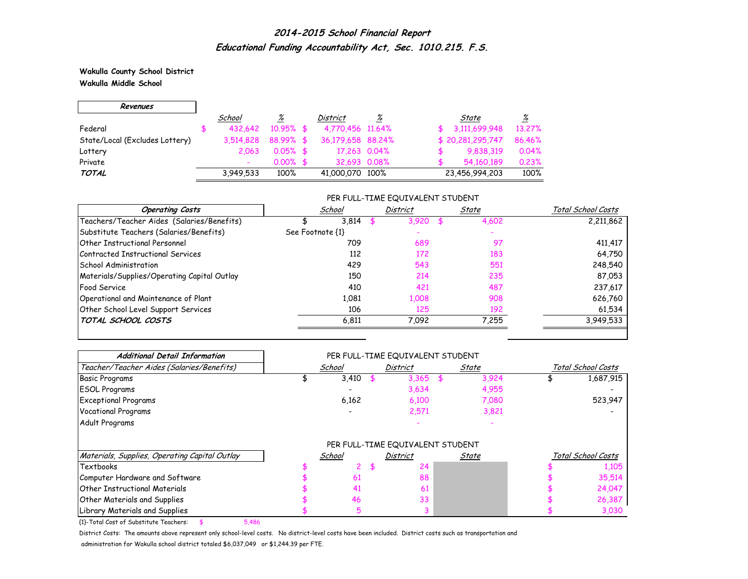**Wakulla County School District Wakulla Middle School**

 $\Gamma$ 

 $\overline{\phantom{0}}$ 

| Revenues                       |           |              |                   |              |                  |          |
|--------------------------------|-----------|--------------|-------------------|--------------|------------------|----------|
|                                | School    | <u>%</u>     | District          | ℅            | State            | <u>%</u> |
| Federal                        | 432.642   | $10.95\%$ \$ | 4,770,456 11,64%  |              | 3,111,699,948    | 13.27%   |
| State/Local (Excludes Lottery) | 3,514,828 | 88.99% \$    | 36,179,658 88,24% |              | \$20,281,295,747 | 86.46%   |
| Lottery                        | 2.063     | $0.05\%$ \$  |                   | 17,263 0.04% | 9,838,319        | 0.04%    |
| Private                        |           | $0.00\%$ \$  | 32.693 0.08%      |              | 54,160,189       | 0.23%    |
| <b>TOTAL</b>                   | 3,949,533 | 100%         | 41,000,070 100%   |              | 23,456,994,203   | 100%     |

### PER FULL-TIME EQUIVALENT STUDENT

| <b>Operating Costs</b>                      | School           | <b>District</b> | State | Total School Costs |
|---------------------------------------------|------------------|-----------------|-------|--------------------|
| Teachers/Teacher Aides (Salaries/Benefits)  | 3,814            | 3,920           | 4,602 | 2,211,862          |
| Substitute Teachers (Salaries/Benefits)     | See Footnote {1} |                 |       |                    |
| Other Instructional Personnel               | 709              | 689             | 97    | 411,417            |
| Contracted Instructional Services           | 112              | 172             | 183   | 64,750             |
| School Administration                       | 429              | 543             | 551   | 248,540            |
| Materials/Supplies/Operating Capital Outlay | 150              | 214             | 235   | 87,053             |
| <b>Food Service</b>                         | 410              | 421             | 487   | 237,617            |
| Operational and Maintenance of Plant        | 1.081            | 1,008           | 908   | 626,760            |
| Other School Level Support Services         | 106              | 125             | 192   | 61,534             |
| TOTAL SCHOOL COSTS                          | 6,811            | 7,092           | 7,255 | 3,949,533          |

| <b>Additional Detail Information</b>          |        | PER FULL-TIME EQUIVALENT STUDENT |       |                    |
|-----------------------------------------------|--------|----------------------------------|-------|--------------------|
| Teacher/Teacher Aides (Salaries/Benefits)     | School | <b>District</b>                  | State | Total School Costs |
| <b>Basic Programs</b>                         | 3,410  | 3,365                            | 3,924 | 1,687,915          |
| <b>ESOL Programs</b>                          |        | 3,634                            | 4,955 |                    |
| <b>Exceptional Programs</b>                   | 6,162  | 6,100                            | 7,080 | 523,947            |
| <b>Vocational Programs</b>                    |        | 2,571                            | 3,821 |                    |
| Adult Programs                                |        |                                  |       |                    |
|                                               |        | PER FULL-TIME EQUIVALENT STUDENT |       |                    |
| Materials, Supplies, Operating Capital Outlay | School | District                         | State | Total School Costs |
| Textbooks                                     |        | 24                               |       | 1,105              |
| Computer Hardware and Software                | 61     | 88                               |       | 35,514             |
| <b>Other Instructional Materials</b>          | 41     | 61                               |       | 24,047             |
| Other Materials and Supplies                  | 46     | 33                               |       | 26,387             |
| Library Materials and Supplies                |        |                                  |       | 3,030              |

{1}-Total Cost of Substitute Teachers: \$ 5,486

District Costs: The amounts above represent only school-level costs. No district-level costs have been included. District costs such as transportation and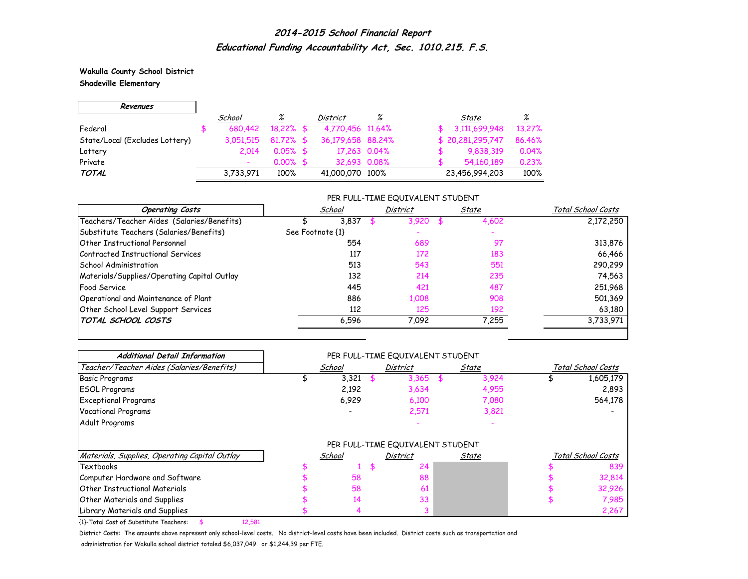**Wakulla County School District Shadeville Elementary**

 $\Gamma$ 

 $\overline{\phantom{0}}$ 

| Revenues                       |           |              |                   |              |                  |          |
|--------------------------------|-----------|--------------|-------------------|--------------|------------------|----------|
|                                | School    | <u>%</u>     | District          | ℅            | State            | <u>%</u> |
| Federal                        | 680,442   | $18.22\%$ \$ | 4,770,456 11,64%  |              | 3,111,699,948    | 13.27%   |
| State/Local (Excludes Lottery) | 3,051,515 | $81.72\%$ \$ | 36,179,658 88,24% |              | \$20,281,295,747 | 86.46%   |
| Lottery                        | 2.014     | $0.05\%$ \$  |                   | 17,263 0.04% | 9,838,319        | 0.04%    |
| Private                        |           | $0.00\%$ \$  | 32.693 0.08%      |              | 54,160,189       | 0.23%    |
| <b>TOTAL</b>                   | 3,733,971 | 100%         | 41,000,070 100%   |              | 23,456,994,203   | 100%     |

### PER FULL-TIME EQUIVALENT STUDENT

| <b>Operating Costs</b>                      | School           | District | State | Total School Costs |
|---------------------------------------------|------------------|----------|-------|--------------------|
| Teachers/Teacher Aides (Salaries/Benefits)  | 3,837            | 3,920    | 4,602 | 2,172,250          |
| Substitute Teachers (Salaries/Benefits)     | See Footnote {1} |          |       |                    |
| <b>Other Instructional Personnel</b>        | 554              | 689      | -97   | 313,876            |
| Contracted Instructional Services           | 117              | 172      | 183   | 66,466             |
| School Administration                       | 513              | 543      | 551   | 290,299            |
| Materials/Supplies/Operating Capital Outlay | 132              | 214      | 235   | 74,563             |
| <b>Food Service</b>                         | 445              | 421      | 487   | 251,968            |
| Operational and Maintenance of Plant        | 886              | 1,008    | 908   | 501,369            |
| Other School Level Support Services         | 112              | 125      | 192   | 63,180             |
| TOTAL SCHOOL COSTS                          | 6,596            | 7,092    | 7.255 | 3,733,971          |

| <b>Additional Detail Information</b>          |        | PER FULL-TIME EQUIVALENT STUDENT |       |                    |
|-----------------------------------------------|--------|----------------------------------|-------|--------------------|
| Teacher/Teacher Aides (Salaries/Benefits)     | School | District                         | State | Total School Costs |
| <b>Basic Programs</b>                         | 3,321  | 3,365                            | 3,924 | 1,605,179          |
| <b>ESOL Programs</b>                          | 2,192  | 3,634                            | 4,955 | 2,893              |
| <b>Exceptional Programs</b>                   | 6,929  | 6,100                            | 7,080 | 564,178            |
| <b>Vocational Programs</b>                    |        | 2,571                            | 3,821 |                    |
| Adult Programs                                |        |                                  |       |                    |
|                                               |        | PER FULL-TIME EQUIVALENT STUDENT |       |                    |
| Materials, Supplies, Operating Capital Outlay | School | District                         | State | Total School Costs |
| <b>Textbooks</b>                              |        | 24                               |       | 839                |
| Computer Hardware and Software                | 58     | 88                               |       | 32,814             |
| <b>Other Instructional Materials</b>          | 58     | 61                               |       | 32,926             |
| Other Materials and Supplies                  | 14     | 33                               |       | 7,985              |
| Library Materials and Supplies                |        |                                  |       | 2,267              |

{1}-Total Cost of Substitute Teachers: \$ 12,581

District Costs: The amounts above represent only school-level costs. No district-level costs have been included. District costs such as transportation and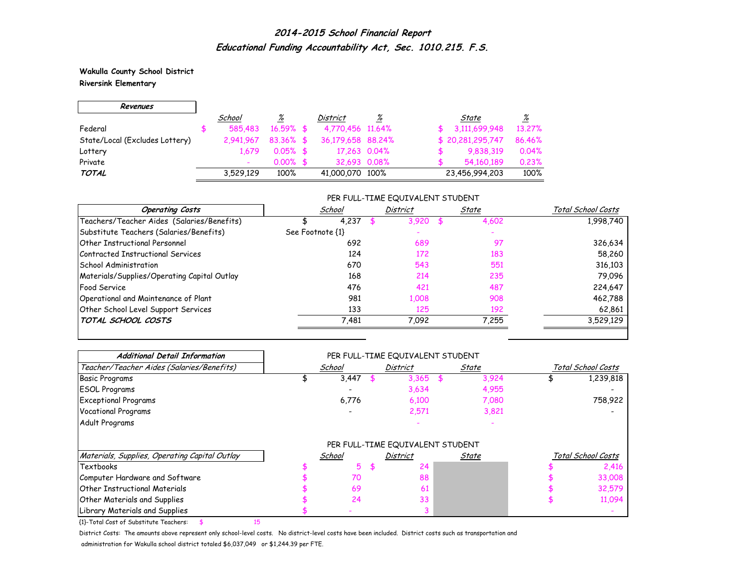**Wakulla County School District Riversink Elementary**

 $\Gamma$ 

 $\overline{\phantom{0}}$ 

| Revenues                       |           |              |                   |          |                  |          |
|--------------------------------|-----------|--------------|-------------------|----------|------------------|----------|
|                                | School    | <u>%</u>     | District          | <u>%</u> | State            | <u>%</u> |
| Federal                        | 585,483   | $16.59\%$ \$ | 4,770,456 11,64%  |          | 3,111,699,948    | 13.27%   |
| State/Local (Excludes Lottery) | 2.941.967 | $83.36\%$ \$ | 36,179,658 88,24% |          | \$20,281,295,747 | 86.46%   |
| Lottery                        | 1.679     | $0.05\%$ \$  | 17,263 0.04%      |          | 9,838,319        | 0.04%    |
| Private                        |           | $0.00\%$ \$  | 32.693 0.08%      |          | 54,160,189       | 0.23%    |
| <b>TOTAL</b>                   | 3,529,129 | 100%         | 41,000,070 100%   |          | 23,456,994,203   | 100%     |

### PER FULL-TIME EQUIVALENT STUDENT

| <b>Operating Costs</b>                      | School           | District | State | Total School Costs |
|---------------------------------------------|------------------|----------|-------|--------------------|
| Teachers/Teacher Aides (Salaries/Benefits)  | 4.237            | 3,920    | 4,602 | 1,998,740          |
| Substitute Teachers (Salaries/Benefits)     | See Footnote {1} |          |       |                    |
| Other Instructional Personnel               | 692              | 689      | 97    | 326,634            |
| Contracted Instructional Services           | 124              | 172      | 183   | 58,260             |
| School Administration                       | 670              | 543      | 551   | 316,103            |
| Materials/Supplies/Operating Capital Outlay | 168              | 214      | 235   | 79,096             |
| <b>Food Service</b>                         | 476              | 421      | 487   | 224,647            |
| Operational and Maintenance of Plant        | 981              | 1,008    | 908   | 462,788            |
| Other School Level Support Services         | 133              | 125      | 192   | 62,861             |
| TOTAL SCHOOL COSTS                          | 7,481            | 7,092    | 7.255 | 3,529,129          |

| <b>Additional Detail Information</b>          |        | PER FULL-TIME EQUIVALENT STUDENT |              |                    |
|-----------------------------------------------|--------|----------------------------------|--------------|--------------------|
| Teacher/Teacher Aides (Salaries/Benefits)     | School | District                         | State        | Total School Costs |
| <b>Basic Programs</b>                         | 3,447  | 3,365                            | 3,924        | 1,239,818          |
| <b>ESOL Programs</b>                          |        | 3,634                            | 4,955        |                    |
| <b>Exceptional Programs</b>                   | 6,776  | 6,100                            | 7,080        | 758,922            |
| <b>Vocational Programs</b>                    |        | 2,571                            | 3,821        |                    |
| Adult Programs                                |        |                                  |              |                    |
|                                               |        | PER FULL-TIME EQUIVALENT STUDENT |              |                    |
| Materials, Supplies, Operating Capital Outlay | School | District                         | <u>State</u> | Total School Costs |
| Textbooks                                     | 5.     | 24                               |              | 2,416              |
| Computer Hardware and Software                | 70     | 88                               |              | 33,008             |
| <b>Other Instructional Materials</b>          | 69     | 61                               |              | 32,579             |
| Other Materials and Supplies                  | 24     | 33                               |              | 11,094             |
| Library Materials and Supplies                |        |                                  |              |                    |

{1}-Total Cost of Substitute Teachers: \$ 15

District Costs: The amounts above represent only school-level costs. No district-level costs have been included. District costs such as transportation and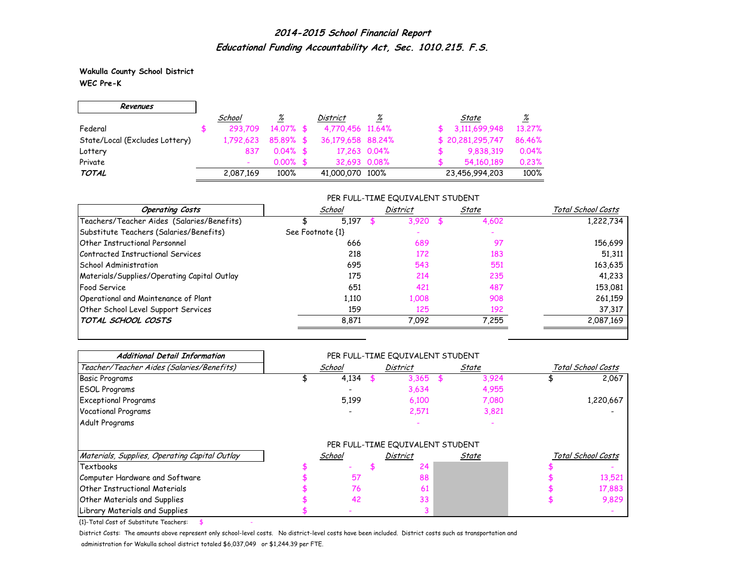**Wakulla County School District WEC Pre-K**

г

| Revenues                       |           |             |                   |          |                  |          |
|--------------------------------|-----------|-------------|-------------------|----------|------------------|----------|
|                                | School    | <u>%</u>    | District          | <u>%</u> | State            | <u>%</u> |
| Federal                        | 293.709   | 14.07% \$   | 4,770,456 11,64%  |          | 3,111,699,948    | 13.27%   |
| State/Local (Excludes Lottery) | 1,792,623 | $85.89%$ \$ | 36,179,658 88,24% |          | \$20,281,295,747 | 86.46%   |
| Lottery                        | 837       | $0.04\%$ \$ | 17,263 0.04%      |          | 9,838,319        | 0.04%    |
| Private                        |           | $0.00\%$ \$ | 32.693 0.08%      |          | 54,160,189       | 0.23%    |
| <b>TOTAL</b>                   | 2,087,169 | 100%        | 41,000,070 100%   |          | 23,456,994,203   | 100%     |

### PER FULL-TIME EQUIVALENT STUDENT

| <b>Operating Costs</b>                      | School           | District | State | Total School Costs |  |
|---------------------------------------------|------------------|----------|-------|--------------------|--|
| Teachers/Teacher Aides (Salaries/Benefits)  | 5,197            | 3,920    | 4,602 | 1,222,734          |  |
| Substitute Teachers (Salaries/Benefits)     | See Footnote {1} |          |       |                    |  |
| Other Instructional Personnel               | 666              | 689      | 97    | 156,699            |  |
| Contracted Instructional Services           | 218              | 172      | 183   | 51,311             |  |
| School Administration                       | 695              | 543      | 551   | 163,635            |  |
| Materials/Supplies/Operating Capital Outlay | 175              | 214      | 235   | 41,233             |  |
| <b>Food Service</b>                         | 651              | 421      | 487   | 153,081            |  |
| Operational and Maintenance of Plant        | 1.110            | 1,008    | 908   | 261,159            |  |
| Other School Level Support Services         | 159              | 125      | 192   | 37,317             |  |
| TOTAL SCHOOL COSTS                          | 8,871            | 7,092    | 7.255 | 2,087,169          |  |

| <b>Additional Detail Information</b>          |        | PER FULL-TIME EQUIVALENT STUDENT |       |                    |
|-----------------------------------------------|--------|----------------------------------|-------|--------------------|
| Teacher/Teacher Aides (Salaries/Benefits)     | School | District                         | State | Total School Costs |
| <b>Basic Programs</b>                         | 4,134  | 3,365                            | 3,924 | 2,067              |
| <b>ESOL Programs</b>                          |        | 3,634                            | 4,955 |                    |
| <b>Exceptional Programs</b>                   | 5,199  | 6,100                            | 7,080 | 1,220,667          |
| <b>Vocational Programs</b>                    |        | 2,571                            | 3,821 |                    |
| Adult Programs                                |        |                                  |       |                    |
|                                               |        | PER FULL-TIME EQUIVALENT STUDENT |       |                    |
| Materials, Supplies, Operating Capital Outlay | School | District                         | State | Total School Costs |
| Textbooks                                     |        | 24                               |       |                    |
| Computer Hardware and Software                | 57     | 88                               |       | 13,521             |
| <b>Other Instructional Materials</b>          | 76     | 61                               |       | 17,883             |
| Other Materials and Supplies                  | 42     | 33                               |       | 9,829              |
| Library Materials and Supplies                |        |                                  |       |                    |

 ${1}$ -Total Cost of Substitute Teachers: \$

District Costs: The amounts above represent only school-level costs. No district-level costs have been included. District costs such as transportation and